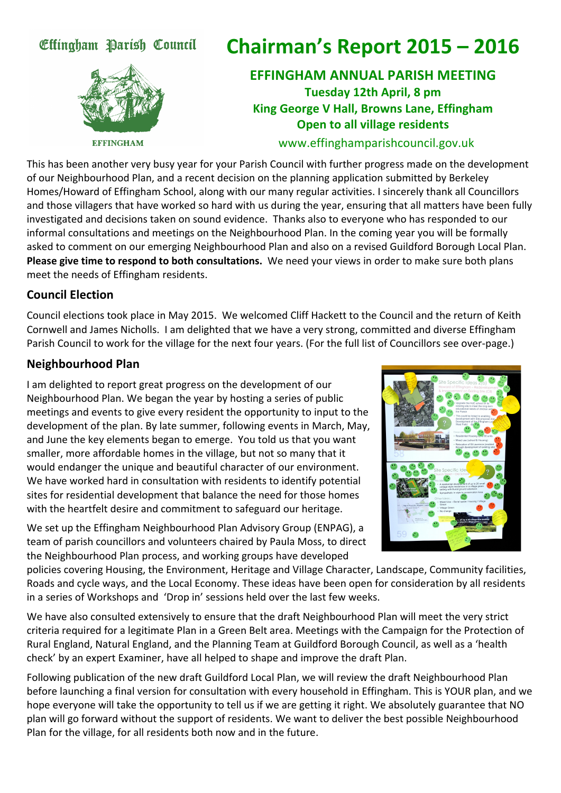# Effingham Parish Council



**Chairman's
Report
2015
–
2016**

# **EFFINGHAM
ANNUAL
PARISH
MEETING Tuesday
12th
April,
8
pm King
George
V
Hall,
Browns
Lane,
Effingham Open to all village residents**

#### www.effinghamparishcouncil.gov.uk

This
has
been
another
very
busy
year
for
your
Parish
Council
with
further
progress
made
on
the
development of our Neighbourhood Plan, and a recent decision on the planning application submitted by Berkeley Homes/Howard of Effingham School, along with our many regular activities. I sincerely thank all Councillors and those villagers that have worked so hard with us during the year, ensuring that all matters have been fully investigated and decisions taken on sound evidence. Thanks also to everyone who has responded to our informal consultations and meetings on the Neighbourhood Plan. In the coming year you will be formally asked to comment on our emerging Neighbourhood Plan and also on a revised Guildford Borough Local Plan. Please give time to respond to both consultations. We need your views in order to make sure both plans meet
the
needs
of
Effingham
residents.

#### **Council
Election**

Council elections took place in May 2015. We welcomed Cliff Hackett to the Council and the return of Keith Cornwell and James Nicholls. I am delighted that we have a very strong, committed and diverse Effingham Parish Council to work for the village for the next four years. (For the full list of Councillors see over-page.)

#### **Neighbourhood
Plan**

I am delighted to report great progress on the development of our Neighbourhood
Plan.
We
began
the
year
by
hosting
a
series
of
public meetings and events to give every resident the opportunity to input to the development of the plan. By late summer, following events in March, May, and June the key elements began to emerge. You told us that you want smaller,
more
affordable
homes
in
the
village,
but
not
so
many
that
it would
endanger
the
unique
and
beautiful
character
of
our
environment. We have worked hard in consultation with residents to identify potential sites
for
residential
development
that
balance
the
need
for
those
homes with the heartfelt desire and commitment to safeguard our heritage.

We set up the Effingham Neighbourhood Plan Advisory Group (ENPAG), a team of parish councillors and volunteers chaired by Paula Moss, to direct the
Neighbourhood
Plan
process, and
working
groups
have
developed



policies covering Housing, the Environment, Heritage and Village Character, Landscape, Community facilities, Roads and cycle ways, and the Local Economy. These ideas have been open for consideration by all residents in
a
series
of
Workshops
and

'Drop
in'
sessions
held
over
the
last
few
weeks.

We have also consulted extensively to ensure that the draft Neighbourhood Plan will meet the very strict criteria required for a legitimate Plan in a Green Belt area. Meetings with the Campaign for the Protection of Rural England, Natural England, and the Planning Team at Guildford Borough Council, as well as a 'health check'
by
an
expert
Examiner,
have
all
helped
to
shape
and
improve
the
draft
Plan.

Following publication of the new draft Guildford Local Plan, we will review the draft Neighbourhood Plan before launching a final version for consultation with every household in Effingham. This is YOUR plan, and we hope everyone will take the opportunity to tell us if we are getting it right. We absolutely guarantee that NO plan
will
go
forward
without
the
support
of
residents.
We
want
to
deliver
the
best
possible
Neighbourhood Plan for the village, for all residents both now and in the future.